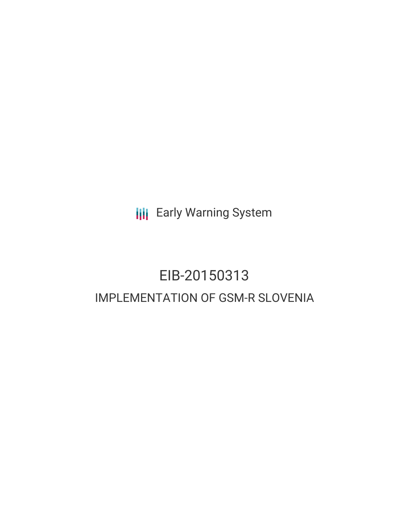**III** Early Warning System

# EIB-20150313 IMPLEMENTATION OF GSM-R SLOVENIA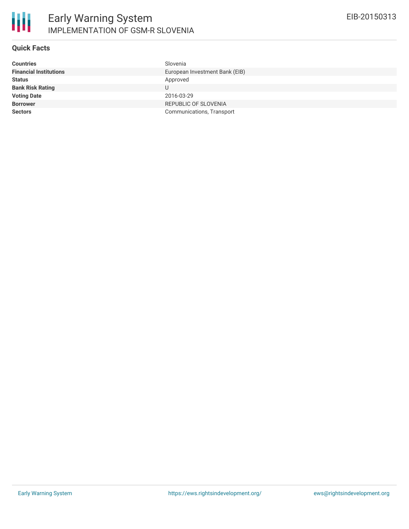

## **Quick Facts**

| <b>Countries</b>              | Slovenia                       |
|-------------------------------|--------------------------------|
| <b>Financial Institutions</b> | European Investment Bank (EIB) |
| <b>Status</b>                 | Approved                       |
| <b>Bank Risk Rating</b>       | U                              |
| <b>Voting Date</b>            | 2016-03-29                     |
| <b>Borrower</b>               | REPUBLIC OF SLOVENIA           |
| <b>Sectors</b>                | Communications, Transport      |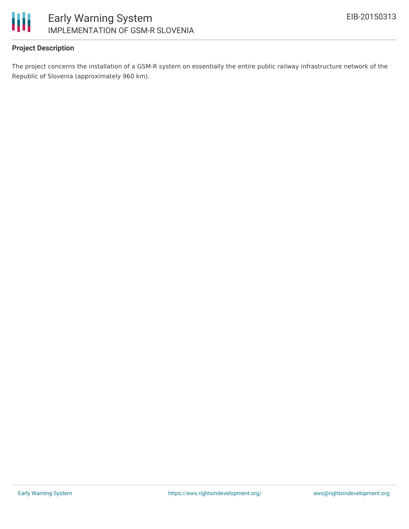

## **Project Description**

The project concerns the installation of a GSM-R system on essentially the entire public railway infrastructure network of the Republic of Slovenia (approximately 960 km).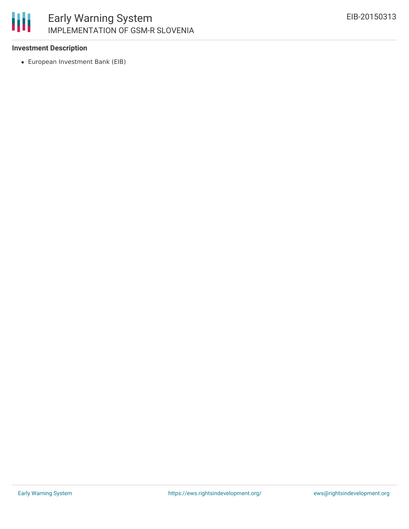# 冊 Early Warning System IMPLEMENTATION OF GSM-R SLOVENIA

## **Investment Description**

European Investment Bank (EIB)